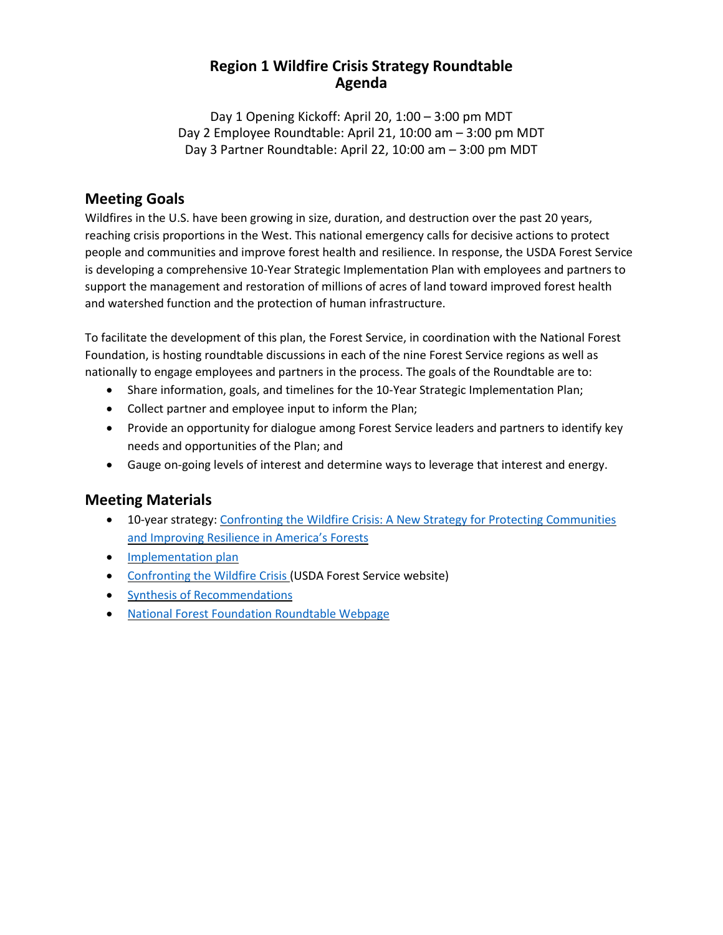### **Region 1 Wildfire Crisis Strategy Roundtable Agenda**

Day 1 Opening Kickoff: April 20, 1:00 – 3:00 pm MDT Day 2 Employee Roundtable: April 21, 10:00 am – 3:00 pm MDT Day 3 Partner Roundtable: April 22, 10:00 am – 3:00 pm MDT

## **Meeting Goals**

Wildfires in the U.S. have been growing in size, duration, and destruction over the past 20 years, reaching crisis proportions in the West. This national emergency calls for decisive actions to protect people and communities and improve forest health and resilience. In response, the USDA Forest Service is developing a comprehensive 10-Year Strategic Implementation Plan with employees and partners to support the management and restoration of millions of acres of land toward improved forest health and watershed function and the protection of human infrastructure.

To facilitate the development of this plan, the Forest Service, in coordination with the National Forest Foundation, is hosting roundtable discussions in each of the nine Forest Service regions as well as nationally to engage employees and partners in the process. The goals of the Roundtable are to:

- Share information, goals, and timelines for the 10-Year Strategic Implementation Plan;
- Collect partner and employee input to inform the Plan;
- Provide an opportunity for dialogue among Forest Service leaders and partners to identify key needs and opportunities of the Plan; and
- Gauge on-going levels of interest and determine ways to leverage that interest and energy.

## **Meeting Materials**

- 10-year strategy: Confronting the Wildfire Crisis: A New Strategy for Protecting [Communities](https://www.fs.usda.gov/sites/default/files/Confronting-Wildfire-Crisis.pdf) and [Improving](https://www.fs.usda.gov/sites/default/files/Confronting-Wildfire-Crisis.pdf) Resilience in America's Forests
- [Implementation](https://www.fs.usda.gov/sites/default/files/Wildfire-Crisis-Implementation-Plan.pdf) plan
- [Confronting](https://www.fs.usda.gov/managing-land/wildfire-crisis) the Wildfire Crisis (USDA Forest Service website)
- Synthesis of [Recommendations](https://www.nationalforests.org/assets/blog/Wildfire-Risk-Reduction-Partner-Recommendation-Analysis.pdf)
- National Forest Foundation [Roundtable](https://www.nationalforests.org/collaboration-resources/wildfire-crisis-strategy-roundtables) Webpage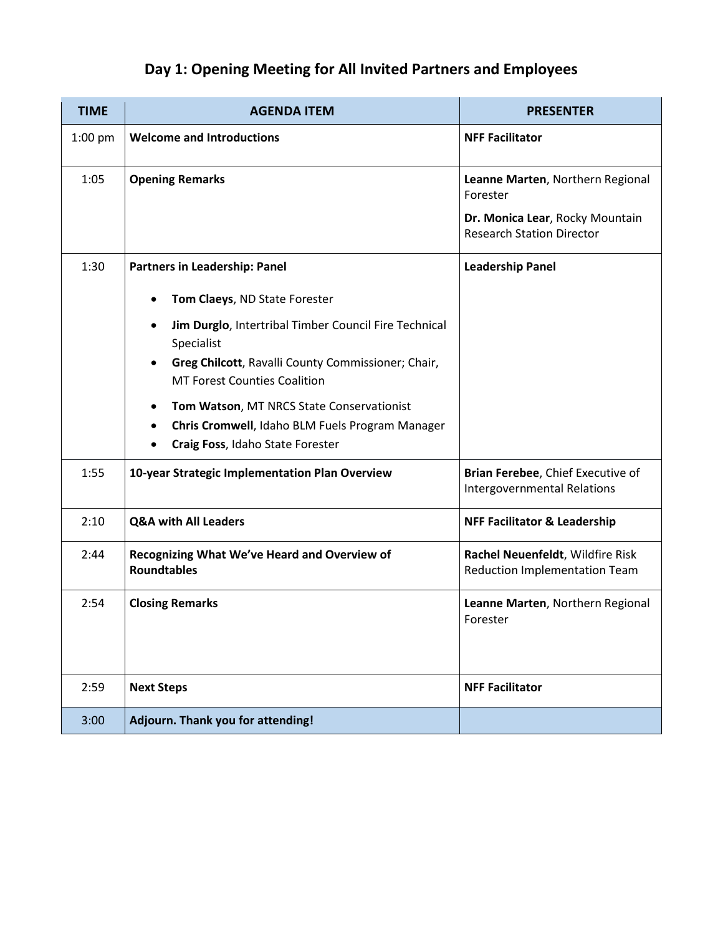# **Day 1: Opening Meeting for All Invited Partners and Employees**

| <b>TIME</b> | <b>AGENDA ITEM</b>                                                                                     | <b>PRESENTER</b>                                                         |
|-------------|--------------------------------------------------------------------------------------------------------|--------------------------------------------------------------------------|
| $1:00$ pm   | <b>Welcome and Introductions</b>                                                                       | <b>NFF Facilitator</b>                                                   |
| 1:05        | <b>Opening Remarks</b>                                                                                 | Leanne Marten, Northern Regional<br>Forester                             |
|             |                                                                                                        | Dr. Monica Lear, Rocky Mountain<br><b>Research Station Director</b>      |
| 1:30        | Partners in Leadership: Panel                                                                          | <b>Leadership Panel</b>                                                  |
|             | Tom Claeys, ND State Forester<br>$\bullet$                                                             |                                                                          |
|             | Jim Durglo, Intertribal Timber Council Fire Technical<br>$\bullet$<br>Specialist                       |                                                                          |
|             | Greg Chilcott, Ravalli County Commissioner; Chair,<br>$\bullet$<br><b>MT Forest Counties Coalition</b> |                                                                          |
|             | Tom Watson, MT NRCS State Conservationist<br>$\bullet$                                                 |                                                                          |
|             | Chris Cromwell, Idaho BLM Fuels Program Manager<br>$\bullet$<br>Craig Foss, Idaho State Forester       |                                                                          |
| 1:55        | 10-year Strategic Implementation Plan Overview                                                         | Brian Ferebee, Chief Executive of<br><b>Intergovernmental Relations</b>  |
| 2:10        | <b>Q&amp;A with All Leaders</b>                                                                        | <b>NFF Facilitator &amp; Leadership</b>                                  |
| 2:44        | Recognizing What We've Heard and Overview of<br><b>Roundtables</b>                                     | Rachel Neuenfeldt, Wildfire Risk<br><b>Reduction Implementation Team</b> |
| 2:54        | <b>Closing Remarks</b>                                                                                 | Leanne Marten, Northern Regional<br>Forester                             |
|             |                                                                                                        |                                                                          |
| 2:59        | <b>Next Steps</b>                                                                                      | <b>NFF Facilitator</b>                                                   |
| 3:00        | Adjourn. Thank you for attending!                                                                      |                                                                          |